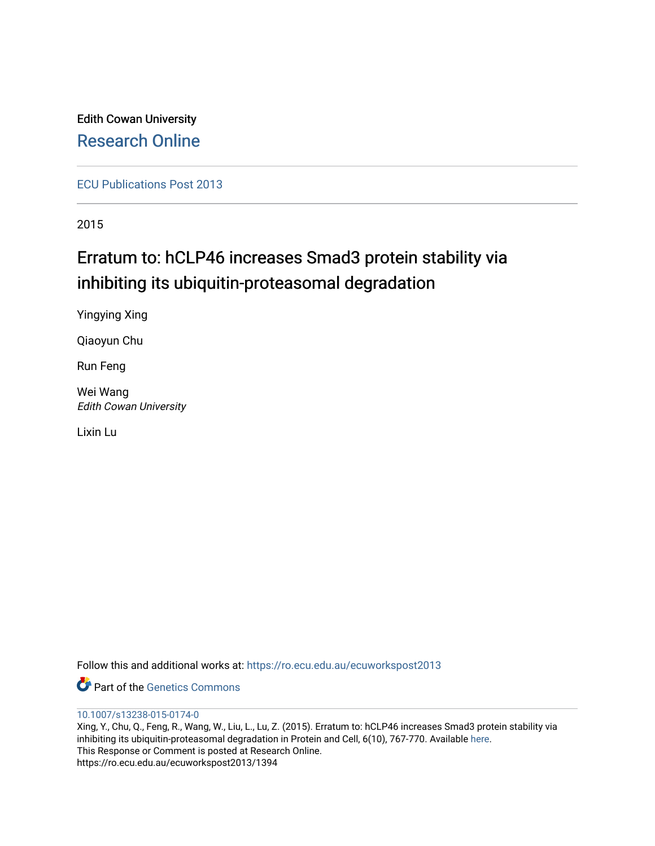Edith Cowan University [Research Online](https://ro.ecu.edu.au/) 

[ECU Publications Post 2013](https://ro.ecu.edu.au/ecuworkspost2013)

2015

## Erratum to: hCLP46 increases Smad3 protein stability via inhibiting its ubiquitin-proteasomal degradation

Yingying Xing

Qiaoyun Chu

Run Feng

Wei Wang Edith Cowan University

Lixin Lu

Follow this and additional works at: [https://ro.ecu.edu.au/ecuworkspost2013](https://ro.ecu.edu.au/ecuworkspost2013?utm_source=ro.ecu.edu.au%2Fecuworkspost2013%2F1394&utm_medium=PDF&utm_campaign=PDFCoverPages) 

**P** Part of the Genetics Commons

## [10.1007/s13238-015-0174-0](http://dx.doi.org/10.%E2%80%8B1007/%E2%80%8Bs13238-015-0174-0)

Xing, Y., Chu, Q., Feng, R., Wang, W., Liu, L., Lu, Z. (2015). Erratum to: hCLP46 increases Smad3 protein stability via inhibiting its ubiquitin-proteasomal degradation in Protein and Cell, 6(10), 767-770. Available [here.](https://doi.org/http://ro.ecu.edu.au/ecuworkspost2013/1394) This Response or Comment is posted at Research Online. https://ro.ecu.edu.au/ecuworkspost2013/1394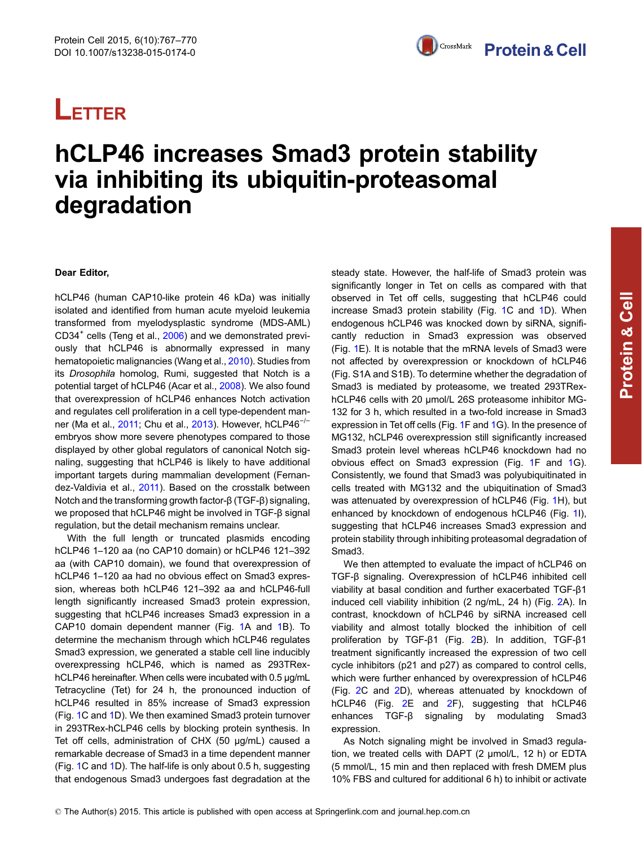# **LETTER**

## hCLP46 increases Smad3 protein stability via inhibiting its ubiquitin-proteasomal degradation

### Dear Editor,

hCLP46 (human CAP10-like protein 46 kDa) was initially isolated and identified from human acute myeloid leukemia transformed from myelodysplastic syndrome (MDS-AML) CD34<sup>+</sup> cells (Teng et al., [2006\)](#page-4-0) and we demonstrated previously that hCLP46 is abnormally expressed in many hematopoietic malignancies (Wang et al., [2010\)](#page-4-0). Studies from its Drosophila homolog, Rumi, suggested that Notch is a potential target of hCLP46 (Acar et al., [2008](#page-4-0)). We also found that overexpression of hCLP46 enhances Notch activation and regulates cell proliferation in a cell type-dependent man-ner (Ma et al., [2011;](#page-4-0) Chu et al., [2013\)](#page-4-0). However, hCLP46<sup>-/−</sup> embryos show more severe phenotypes compared to those displayed by other global regulators of canonical Notch signaling, suggesting that hCLP46 is likely to have additional important targets during mammalian development (Fernandez-Valdivia et al., [2011](#page-4-0)). Based on the crosstalk between Notch and the transforming growth factor-β (TGF-β) signaling, we proposed that hCLP46 might be involved in TGF-β signal regulation, but the detail mechanism remains unclear.

With the full length or truncated plasmids encoding hCLP46 1–120 aa (no CAP10 domain) or hCLP46 121–392 aa (with CAP10 domain), we found that overexpression of hCLP46 1–120 aa had no obvious effect on Smad3 expression, whereas both hCLP46 121–392 aa and hCLP46-full length significantly increased Smad3 protein expression, suggesting that hCLP46 increases Smad3 expression in a CAP10 domain dependent manner (Fig. [1A](#page-2-0) and [1](#page-2-0)B). To determine the mechanism through which hCLP46 regulates Smad3 expression, we generated a stable cell line inducibly overexpressing hCLP46, which is named as 293TRexhCLP46 hereinafter. When cells were incubated with 0.5 μg/mL Tetracycline (Tet) for 24 h, the pronounced induction of hCLP46 resulted in 85% increase of Smad3 expression (Fig. [1C](#page-2-0) and [1](#page-2-0)D). We then examined Smad3 protein turnover in 293TRex-hCLP46 cells by blocking protein synthesis. In Tet off cells, administration of CHX (50 μg/mL) caused a remarkable decrease of Smad3 in a time dependent manner (Fig. [1C](#page-2-0) and [1D](#page-2-0)). The half-life is only about 0.5 h, suggesting that endogenous Smad3 undergoes fast degradation at the

steady state. However, the half-life of Smad3 protein was significantly longer in Tet on cells as compared with that observed in Tet off cells, suggesting that hCLP46 could increase Smad3 protein stability (Fig. [1](#page-2-0)C and [1D](#page-2-0)). When endogenous hCLP46 was knocked down by siRNA, significantly reduction in Smad3 expression was observed (Fig. [1](#page-2-0)E). It is notable that the mRNA levels of Smad3 were not affected by overexpression or knockdown of hCLP46 (Fig. S1A and S1B). To determine whether the degradation of Smad3 is mediated by proteasome, we treated 293TRexhCLP46 cells with 20 μmol/L 26S proteasome inhibitor MG-132 for 3 h, which resulted in a two-fold increase in Smad3 expression in Tet off cells (Fig. [1](#page-2-0)F and [1](#page-2-0)G). In the presence of MG132, hCLP46 overexpression still significantly increased Smad3 protein level whereas hCLP46 knockdown had no obvious effect on Smad3 expression (Fig. [1](#page-2-0)F and [1](#page-2-0)G). Consistently, we found that Smad3 was polyubiquitinated in cells treated with MG132 and the ubiquitination of Smad3 was attenuated by overexpression of hCLP46 (Fig. [1](#page-2-0)H), but enhanced by knockdown of endogenous hCLP46 (Fig. [1](#page-2-0)I), suggesting that hCLP46 increases Smad3 expression and protein stability through inhibiting proteasomal degradation of Smad3.

We then attempted to evaluate the impact of hCLP46 on TGF-β signaling. Overexpression of hCLP46 inhibited cell viability at basal condition and further exacerbated TGF-β1 induced cell viability inhibition (2 ng/mL, 24 h) (Fig. [2](#page-3-0)A). In contrast, knockdown of hCLP46 by siRNA increased cell viability and almost totally blocked the inhibition of cell proliferation by TGF-β1 (Fig. [2](#page-3-0)B). In addition, TGF-β1 treatment significantly increased the expression of two cell cycle inhibitors (p21 and p27) as compared to control cells, which were further enhanced by overexpression of hCLP46 (Fig. [2](#page-3-0)C and [2](#page-3-0)D), whereas attenuated by knockdown of hCLP46 (Fig. [2](#page-3-0)E and [2F](#page-3-0)), suggesting that hCLP46 enhances TGF-β signaling by modulating Smad3 expression.

As Notch signaling might be involved in Smad3 regulation, we treated cells with DAPT (2 μmol/L, 12 h) or EDTA (5 mmol/L, 15 min and then replaced with fresh DMEM plus 10% FBS and cultured for additional 6 h) to inhibit or activate

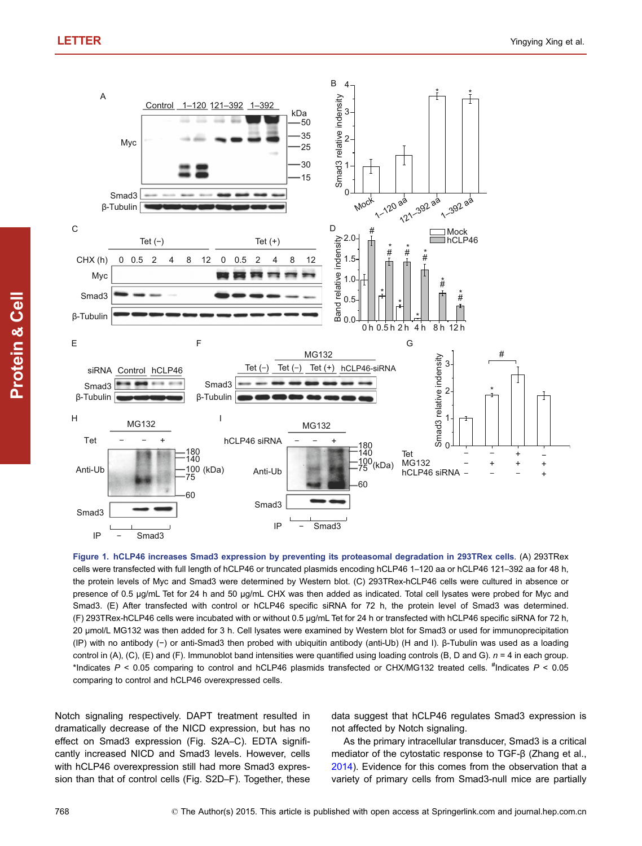<span id="page-2-0"></span>

Figure 1. hCLP46 increases Smad3 expression by preventing its proteasomal degradation in 293TRex cells. (A) 293TRex cells were transfected with full length of hCLP46 or truncated plasmids encoding hCLP46 1–120 aa or hCLP46 121–392 aa for 48 h, the protein levels of Myc and Smad3 were determined by Western blot. (C) 293TRex-hCLP46 cells were cultured in absence or presence of 0.5 μg/mL Tet for 24 h and 50 μg/mL CHX was then added as indicated. Total cell lysates were probed for Myc and Smad3. (E) After transfected with control or hCLP46 specific siRNA for 72 h, the protein level of Smad3 was determined. (F) 293TRex-hCLP46 cells were incubated with or without 0.5 μg/mL Tet for 24 h or transfected with hCLP46 specific siRNA for 72 h, 20 μmol/L MG132 was then added for 3 h. Cell lysates were examined by Western blot for Smad3 or used for immunoprecipitation (IP) with no antibody (−) or anti-Smad3 then probed with ubiquitin antibody (anti-Ub) (H and I). β-Tubulin was used as a loading control in (A), (C), (E) and (F). Immunoblot band intensities were quantified using loading controls (B, D and G).  $n = 4$  in each group. \*Indicates  $P < 0.05$  comparing to control and hCLP46 plasmids transfected or CHX/MG132 treated cells.  $*$ Indicates  $P < 0.05$ comparing to control and hCLP46 overexpressed cells.

Notch signaling respectively. DAPT treatment resulted in dramatically decrease of the NICD expression, but has no effect on Smad3 expression (Fig. S2A–C). EDTA significantly increased NICD and Smad3 levels. However, cells with hCLP46 overexpression still had more Smad3 expression than that of control cells (Fig. S2D–F). Together, these

data suggest that hCLP46 regulates Smad3 expression is not affected by Notch signaling.

As the primary intracellular transducer, Smad3 is a critical mediator of the cytostatic response to TGF-β (Zhang et al., [2014](#page-4-0)). Evidence for this comes from the observation that a variety of primary cells from Smad3-null mice are partially

Protein

& Cell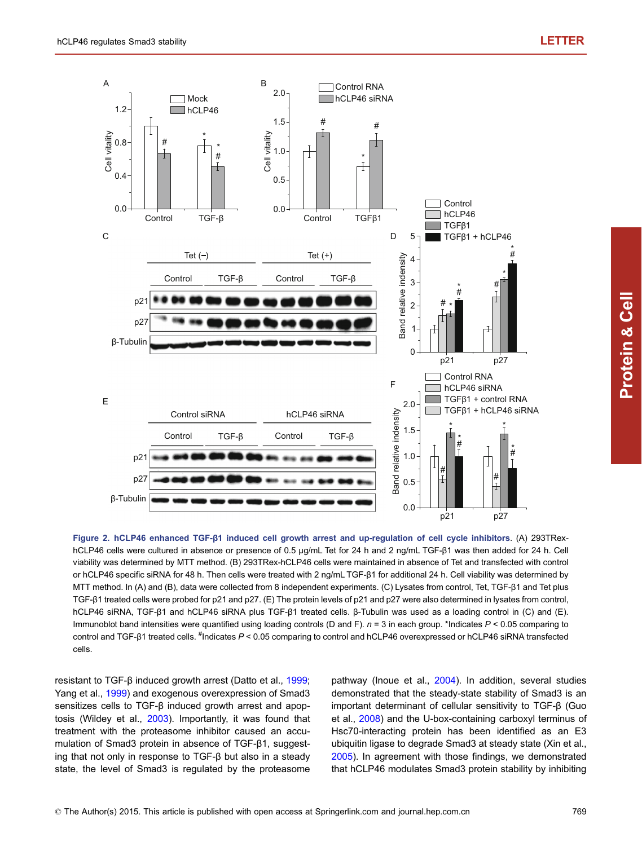<span id="page-3-0"></span>

Figure 2. hCLP46 enhanced TGF-β1 induced cell growth arrest and up-regulation of cell cycle inhibitors. (A) 293TRexhCLP46 cells were cultured in absence or presence of 0.5 μg/mL Tet for 24 h and 2 ng/mL TGF-β1 was then added for 24 h. Cell viability was determined by MTT method. (B) 293TRex-hCLP46 cells were maintained in absence of Tet and transfected with control or hCLP46 specific siRNA for 48 h. Then cells were treated with 2 ng/mL TGF-β1 for additional 24 h. Cell viability was determined by MTT method. In (A) and (B), data were collected from 8 independent experiments. (C) Lysates from control, Tet, TGF-β1 and Tet plus TGF-β1 treated cells were probed for p21 and p27. (E) The protein levels of p21 and p27 were also determined in lysates from control, hCLP46 siRNA, TGF-β1 and hCLP46 siRNA plus TGF-β1 treated cells. β-Tubulin was used as a loading control in (C) and (E). Immunoblot band intensities were quantified using loading controls (D and F).  $n = 3$  in each group. \*Indicates  $P < 0.05$  comparing to control and TGF-β1 treated cells. <sup>#</sup>Indicates P < 0.05 comparing to control and hCLP46 overexpressed or hCLP46 siRNA transfected cells.

resistant to TGF-β induced growth arrest (Datto et al., [1999](#page-4-0); Yang et al., [1999\)](#page-4-0) and exogenous overexpression of Smad3 sensitizes cells to TGF-β induced growth arrest and apoptosis (Wildey et al., [2003](#page-4-0)). Importantly, it was found that treatment with the proteasome inhibitor caused an accumulation of Smad3 protein in absence of TGF-β1, suggesting that not only in response to TGF-β but also in a steady state, the level of Smad3 is regulated by the proteasome pathway (Inoue et al., [2004\)](#page-4-0). In addition, several studies demonstrated that the steady-state stability of Smad3 is an important determinant of cellular sensitivity to TGF-β (Guo et al., [2008](#page-4-0)) and the U-box-containing carboxyl terminus of Hsc70-interacting protein has been identified as an E3 ubiquitin ligase to degrade Smad3 at steady state (Xin et al., [2005](#page-4-0)). In agreement with those findings, we demonstrated that hCLP46 modulates Smad3 protein stability by inhibiting